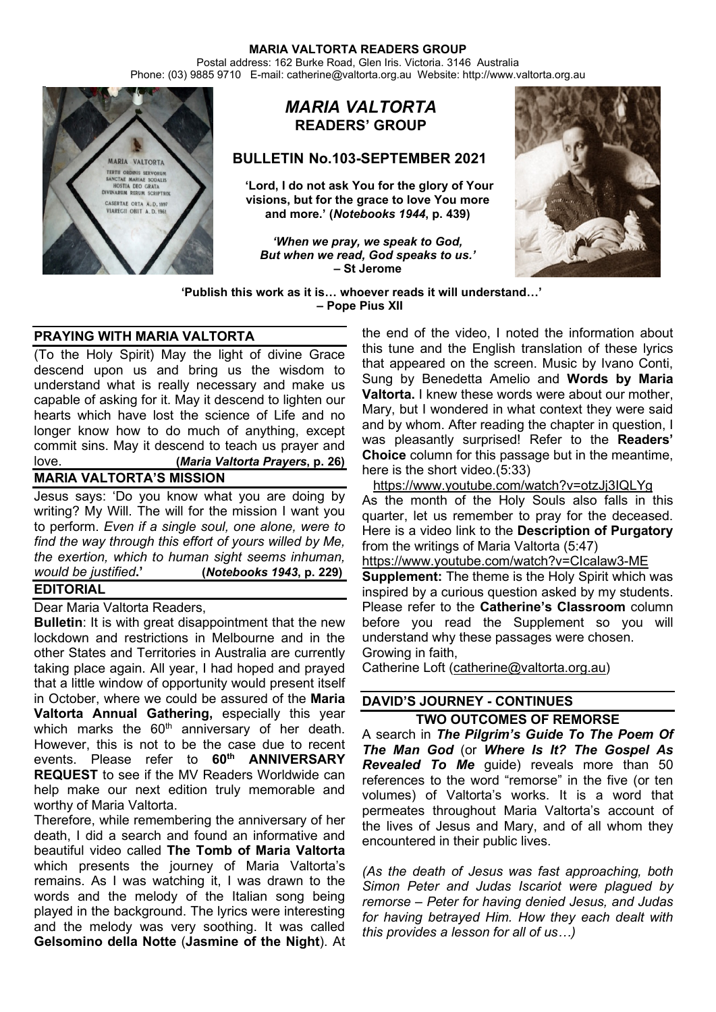Postal address: 162 Burke Road, Glen Iris. Victoria. 3146 Australia Phone: (03) 9885 9710 E-mail: catherine@valtorta.org.au Website: http://www.valtorta.org.au



# *MARIA VALTORTA* **READERS' GROUP**

## **BULLETIN No.103-SEPTEMBER 2021**

**'Lord, I do not ask You for the glory of Your visions, but for the grace to love You more and more.' (***Notebooks 1944***, p. 439)**

*'When we pray, we speak to God, But when we read, God speaks to us.'* **– St Jerome**



**'Publish this work as it is… whoever reads it will understand…' – Pope Pius XII**

# **PRAYING WITH MARIA VALTORTA**

(To the Holy Spirit) May the light of divine Grace descend upon us and bring us the wisdom to understand what is really necessary and make us capable of asking for it. May it descend to lighten our hearts which have lost the science of Life and no longer know how to do much of anything, except commit sins. May it descend to teach us prayer and love. **(***Maria Valtorta Prayers***, p. 26)**

## **MARIA VALTORTA'S MISSION**

Jesus says: 'Do you know what you are doing by writing? My Will. The will for the mission I want you to perform. *Even if a single soul, one alone, were to find the way through this effort of yours willed by Me, the exertion, which to human sight seems inhuman, would be justified***.' (***Notebooks 1943***, p. 229) EDITORIAL**

# Dear Maria Valtorta Readers,

**Bulletin**: It is with great disappointment that the new lockdown and restrictions in Melbourne and in the other States and Territories in Australia are currently taking place again. All year, I had hoped and prayed that a little window of opportunity would present itself in October, where we could be assured of the **Maria Valtorta Annual Gathering,** especially this year which marks the  $60<sup>th</sup>$  anniversary of her death. However, this is not to be the case due to recent events. Please refer to **60th ANNIVERSARY REQUEST** to see if the MV Readers Worldwide can help make our next edition truly memorable and worthy of Maria Valtorta.

Therefore, while remembering the anniversary of her death, I did a search and found an informative and beautiful video called **The Tomb of Maria Valtorta** which presents the journey of Maria Valtorta's remains. As I was watching it, I was drawn to the words and the melody of the Italian song being played in the background. The lyrics were interesting and the melody was very soothing. It was called **Gelsomino della Notte** (**Jasmine of the Night**). At

the end of the video, I noted the information about this tune and the English translation of these lyrics that appeared on the screen. Music by Ivano Conti, Sung by Benedetta Amelio and **Words by Maria Valtorta.** I knew these words were about our mother, Mary, but I wondered in what context they were said and by whom. After reading the chapter in question, I was pleasantly surprised! Refer to the **Readers' Choice** column for this passage but in the meantime, here is the short video.(5:33)

<https://www.youtube.com/watch?v=otzJj3IQLYg> As the month of the Holy Souls also falls in this quarter, let us remember to pray for the deceased. Here is a video link to the **Description of Purgatory** from the writings of Maria Valtorta (5:47) <https://www.youtube.com/watch?v=CIcalaw3-ME>

**Supplement:** The theme is the Holy Spirit which was inspired by a curious question asked by my students. Please refer to the **Catherine's Classroom** column before you read the Supplement so you will understand why these passages were chosen. Growing in faith,

Catherine Loft [\(catherine@valtorta.org.au\)](mailto:catherine@valtorta.org.au)

## **DAVID'S JOURNEY - CONTINUES**

**TWO OUTCOMES OF REMORSE** A search in *The Pilgrim's Guide To The Poem Of The Man God* (or *Where Is It? The Gospel As Revealed To Me* guide) reveals more than 50 references to the word "remorse" in the five (or ten volumes) of Valtorta's works. It is a word that permeates throughout Maria Valtorta's account of the lives of Jesus and Mary, and of all whom they encountered in their public lives.

*(As the death of Jesus was fast approaching, both Simon Peter and Judas Iscariot were plagued by remorse – Peter for having denied Jesus, and Judas for having betrayed Him. How they each dealt with this provides a lesson for all of us…)*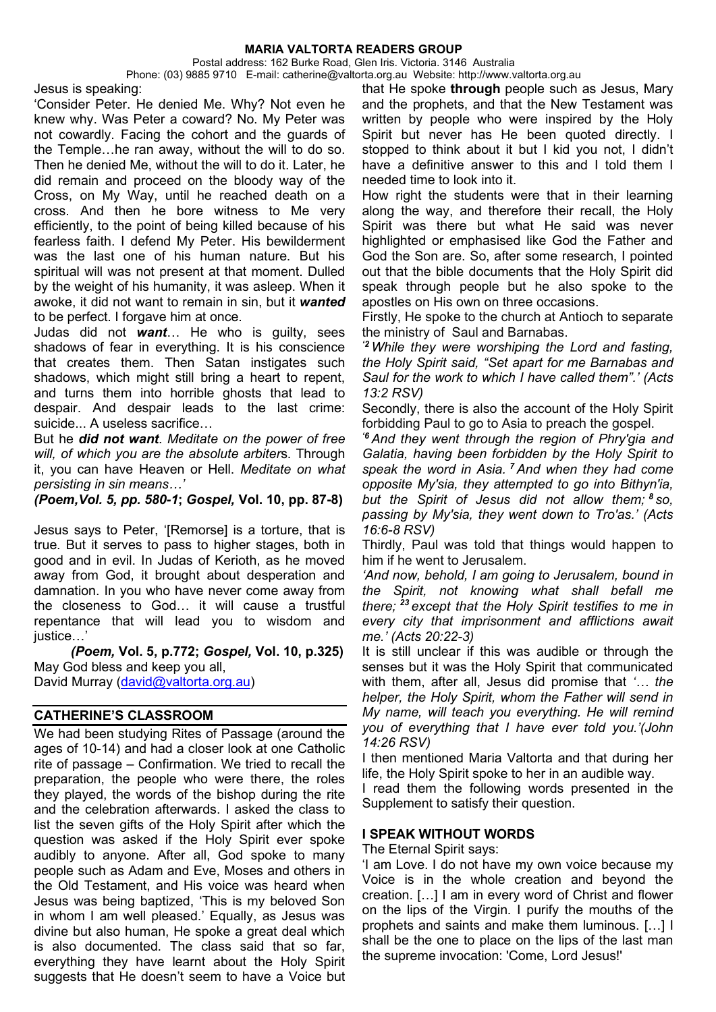Postal address: 162 Burke Road, Glen Iris. Victoria. 3146 Australia

Phone: (03) 9885 9710 E-mail: catherine@valtorta.org.au Website: http://www.valtorta.org.au

Jesus is speaking:

'Consider Peter. He denied Me. Why? Not even he knew why. Was Peter a coward? No. My Peter was not cowardly. Facing the cohort and the guards of the Temple…he ran away, without the will to do so. Then he denied Me, without the will to do it. Later, he did remain and proceed on the bloody way of the Cross, on My Way, until he reached death on a cross. And then he bore witness to Me very efficiently, to the point of being killed because of his fearless faith. I defend My Peter. His bewilderment was the last one of his human nature. But his spiritual will was not present at that moment. Dulled by the weight of his humanity, it was asleep. When it awoke, it did not want to remain in sin, but it *wanted* to be perfect. I forgave him at once.

Judas did not *want*… He who is guilty, sees shadows of fear in everything. It is his conscience that creates them. Then Satan instigates such shadows, which might still bring a heart to repent, and turns them into horrible ghosts that lead to despair. And despair leads to the last crime: suicide... A useless sacrifice…

But he *did not want*. *Meditate on the power of free will, of which you are the absolute arbiter*s. Through it, you can have Heaven or Hell. *Meditate on what persisting in sin means…'*

*(Poem,Vol. 5, pp. 580-1***;** *Gospel,* **Vol. 10, pp. 87-8)**

Jesus says to Peter, '[Remorse] is a torture, that is true. But it serves to pass to higher stages, both in good and in evil. In Judas of Kerioth, as he moved away from God, it brought about desperation and damnation. In you who have never come away from the closeness to God… it will cause a trustful repentance that will lead you to wisdom and justice…'

 *(Poem,* **Vol. 5, p.772;** *Gospel,* **Vol. 10, p.325)** May God bless and keep you all, David Murray [\(david@valtorta.org.au\)](mailto:david@valtorta.org.au)

## **CATHERINE'S CLASSROOM**

We had been studying Rites of Passage (around the ages of 10-14) and had a closer look at one Catholic rite of passage – Confirmation. We tried to recall the preparation, the people who were there, the roles they played, the words of the bishop during the rite and the celebration afterwards. I asked the class to list the seven gifts of the Holy Spirit after which the question was asked if the Holy Spirit ever spoke audibly to anyone. After all, God spoke to many people such as Adam and Eve, Moses and others in the Old Testament, and His voice was heard when Jesus was being baptized, 'This is my beloved Son in whom I am well pleased.' Equally, as Jesus was divine but also human, He spoke a great deal which is also documented. The class said that so far, everything they have learnt about the Holy Spirit suggests that He doesn't seem to have a Voice but that He spoke **through** people such as Jesus, Mary and the prophets, and that the New Testament was written by people who were inspired by the Holy Spirit but never has He been quoted directly. I stopped to think about it but I kid you not, I didn't have a definitive answer to this and I told them I needed time to look into it.

How right the students were that in their learning along the way, and therefore their recall, the Holy Spirit was there but what He said was never highlighted or emphasised like God the Father and God the Son are. So, after some research, I pointed out that the bible documents that the Holy Spirit did speak through people but he also spoke to the apostles on His own on three occasions.

Firstly, He spoke to the church at Antioch to separate the ministry of Saul and Barnabas.

*'2 While they were worshiping the Lord and fasting, the Holy Spirit said, "Set apart for me Barnabas and Saul for the work to which I have called them".' (Acts 13:2 RSV)*

Secondly, there is also the account of the Holy Spirit forbidding Paul to go to Asia to preach the gospel.

*'6 And they went through the region of Phry′gia and Galatia, having been forbidden by the Holy Spirit to speak the word in Asia. <sup>7</sup> And when they had come opposite My′sia, they attempted to go into Bithyn′ia, but the Spirit of Jesus did not allow them; <sup>8</sup> so, passing by My′sia, they went down to Tro′as.' (Acts 16:6-8 RSV)* 

Thirdly, Paul was told that things would happen to him if he went to Jerusalem.

*'And now, behold, I am going to Jerusalem, bound in the Spirit, not knowing what shall befall me there; <sup>23</sup> except that the Holy Spirit testifies to me in every city that imprisonment and afflictions await me.' (Acts 20:22-3)*

It is still unclear if this was audible or through the senses but it was the Holy Spirit that communicated with them, after all, Jesus did promise that *'… the helper, the Holy Spirit, whom the Father will send in My name, will teach you everything. He will remind you of everything that I have ever told you.'(John 14:26 RSV)*

I then mentioned Maria Valtorta and that during her life, the Holy Spirit spoke to her in an audible way.

I read them the following words presented in the Supplement to satisfy their question.

#### **I SPEAK WITHOUT WORDS**

The Eternal Spirit says:

'I am Love. I do not have my own voice because my Voice is in the whole creation and beyond the creation. […] I am in every word of Christ and flower on the lips of the Virgin. I purify the mouths of the prophets and saints and make them luminous. […] I shall be the one to place on the lips of the last man the supreme invocation: 'Come, Lord Jesus!'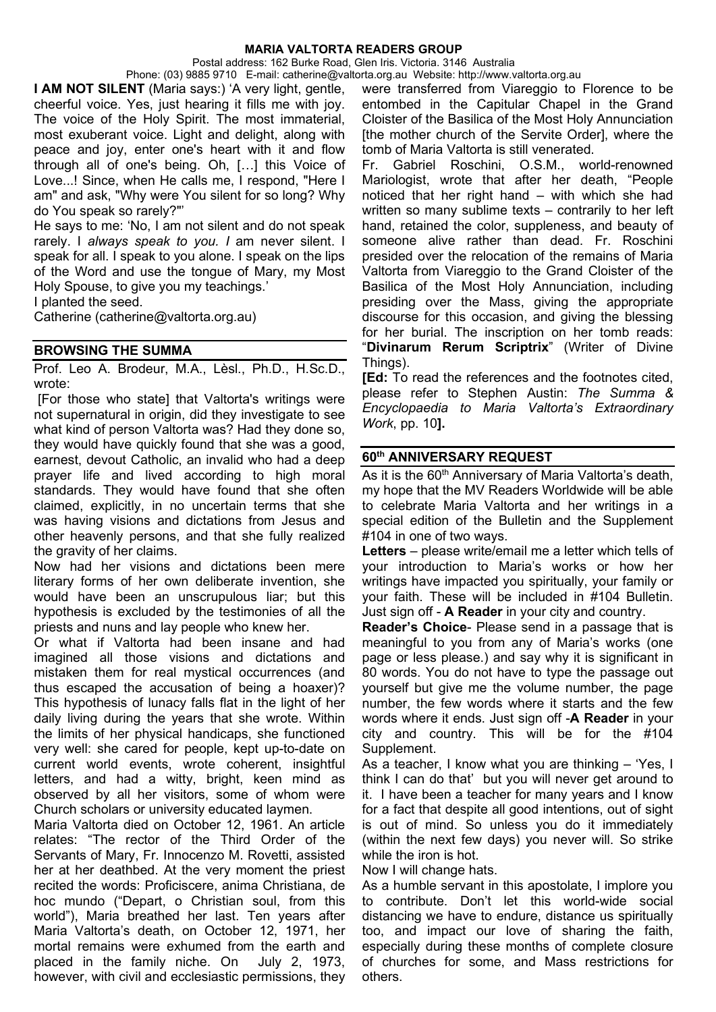Postal address: 162 Burke Road, Glen Iris. Victoria. 3146 Australia

Phone: (03) 9885 9710 E-mail: catherine@valtorta.org.au Website: http://www.valtorta.org.au **I AM NOT SILENT** (Maria says:) 'A very light, gentle, cheerful voice. Yes, just hearing it fills me with joy. The voice of the Holy Spirit. The most immaterial, most exuberant voice. Light and delight, along with peace and joy, enter one's heart with it and flow through all of one's being. Oh, […] this Voice of Love...! Since, when He calls me, I respond, "Here I am" and ask, "Why were You silent for so long? Why do You speak so rarely?"'

He says to me: 'No, I am not silent and do not speak rarely. I *always speak to you. I* am never silent. I speak for all. I speak to you alone. I speak on the lips of the Word and use the tongue of Mary, my Most Holy Spouse, to give you my teachings.'

I planted the seed.

Catherine (catherine@valtorta.org.au)

### **BROWSING THE SUMMA**

Prof. Leo A. Brodeur, M.A., Lèsl., Ph.D., H.Sc.D., wrote:

[For those who state] that Valtorta's writings were not supernatural in origin, did they investigate to see what kind of person Valtorta was? Had they done so, they would have quickly found that she was a good, earnest, devout Catholic, an invalid who had a deep prayer life and lived according to high moral standards. They would have found that she often claimed, explicitly, in no uncertain terms that she was having visions and dictations from Jesus and other heavenly persons, and that she fully realized the gravity of her claims.

Now had her visions and dictations been mere literary forms of her own deliberate invention, she would have been an unscrupulous liar; but this hypothesis is excluded by the testimonies of all the priests and nuns and lay people who knew her.

Or what if Valtorta had been insane and had imagined all those visions and dictations and mistaken them for real mystical occurrences (and thus escaped the accusation of being a hoaxer)? This hypothesis of lunacy falls flat in the light of her daily living during the years that she wrote. Within the limits of her physical handicaps, she functioned very well: she cared for people, kept up-to-date on current world events, wrote coherent, insightful letters, and had a witty, bright, keen mind as observed by all her visitors, some of whom were Church scholars or university educated laymen.

Maria Valtorta died on October 12, 1961. An article relates: "The rector of the Third Order of the Servants of Mary, Fr. Innocenzo M. Rovetti, assisted her at her deathbed. At the very moment the priest recited the words: Proficiscere, anima Christiana, de hoc mundo ("Depart, o Christian soul, from this world"), Maria breathed her last. Ten years after Maria Valtorta's death, on October 12, 1971, her mortal remains were exhumed from the earth and placed in the family niche. On July 2, 1973, however, with civil and ecclesiastic permissions, they

were transferred from Viareggio to Florence to be entombed in the Capitular Chapel in the Grand Cloister of the Basilica of the Most Holy Annunciation [the mother church of the Servite Order], where the tomb of Maria Valtorta is still venerated.

Fr. Gabriel Roschini, O.S.M., world-renowned Mariologist, wrote that after her death, "People noticed that her right hand – with which she had written so many sublime texts – contrarily to her left hand, retained the color, suppleness, and beauty of someone alive rather than dead. Fr. Roschini presided over the relocation of the remains of Maria Valtorta from Viareggio to the Grand Cloister of the Basilica of the Most Holy Annunciation, including presiding over the Mass, giving the appropriate discourse for this occasion, and giving the blessing for her burial. The inscription on her tomb reads: "**Divinarum Rerum Scriptrix**" (Writer of Divine Things).

**[Ed:** To read the references and the footnotes cited, please refer to Stephen Austin: *The Summa & Encyclopaedia to Maria Valtorta's Extraordinary Work*, pp. 10**].**

#### **60th ANNIVERSARY REQUEST**

As it is the 60<sup>th</sup> Anniversary of Maria Valtorta's death, my hope that the MV Readers Worldwide will be able to celebrate Maria Valtorta and her writings in a special edition of the Bulletin and the Supplement #104 in one of two ways.

**Letters** – please write/email me a letter which tells of your introduction to Maria's works or how her writings have impacted you spiritually, your family or your faith. These will be included in #104 Bulletin. Just sign off - **A Reader** in your city and country.

**Reader's Choice**- Please send in a passage that is meaningful to you from any of Maria's works (one page or less please.) and say why it is significant in 80 words. You do not have to type the passage out yourself but give me the volume number, the page number, the few words where it starts and the few words where it ends. Just sign off -**A Reader** in your city and country. This will be for the  $\#104$ Supplement.

As a teacher, I know what you are thinking – 'Yes, I think I can do that' but you will never get around to it. I have been a teacher for many years and I know for a fact that despite all good intentions, out of sight is out of mind. So unless you do it immediately (within the next few days) you never will. So strike while the iron is hot.

Now I will change hats.

As a humble servant in this apostolate, I implore you to contribute. Don't let this world-wide social distancing we have to endure, distance us spiritually too, and impact our love of sharing the faith, especially during these months of complete closure of churches for some, and Mass restrictions for others.